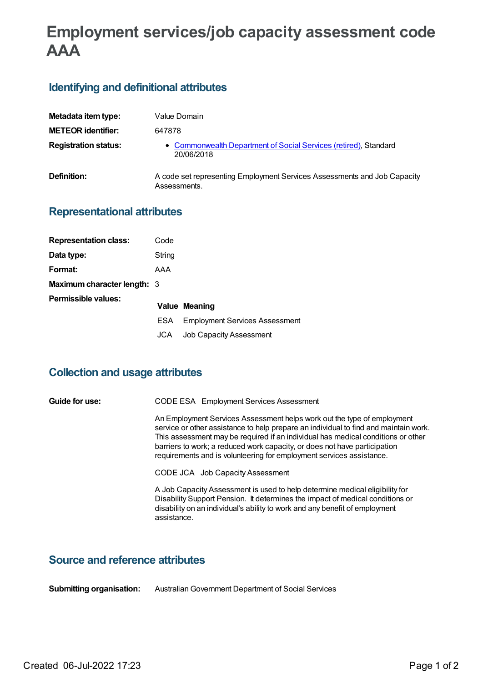# **Employment services/job capacity assessment code AAA**

## **Identifying and definitional attributes**

| Metadata item type:         | Value Domain                                                                             |
|-----------------------------|------------------------------------------------------------------------------------------|
| <b>METEOR identifier:</b>   | 647878                                                                                   |
| <b>Registration status:</b> | • Commonwealth Department of Social Services (retired), Standard<br>20/06/2018           |
| Definition:                 | A code set representing Employment Services Assessments and Job Capacity<br>Assessments. |

### **Representational attributes**

| <b>Representation class:</b>       | Code   |                                       |
|------------------------------------|--------|---------------------------------------|
| Data type:                         | String |                                       |
| Format:                            | AAA    |                                       |
| <b>Maximum character length: 3</b> |        |                                       |
| Permissible values:                |        |                                       |
|                                    |        | Value Meaning                         |
|                                    | ESA.   | <b>Employment Services Assessment</b> |
|                                    | JCA    | <b>Job Capacity Assessment</b>        |

#### **Collection and usage attributes**

| Guide for use: | CODE ESA Employment Services Assessment                                                                                                                                                                                                                                                                                                                                                                  |
|----------------|----------------------------------------------------------------------------------------------------------------------------------------------------------------------------------------------------------------------------------------------------------------------------------------------------------------------------------------------------------------------------------------------------------|
|                | An Employment Services Assessment helps work out the type of employment<br>service or other assistance to help prepare an individual to find and maintain work.<br>This assessment may be required if an individual has medical conditions or other<br>barriers to work; a reduced work capacity, or does not have participation<br>requirements and is volunteering for employment services assistance. |
|                | CODE JCA Job Capacity Assessment                                                                                                                                                                                                                                                                                                                                                                         |
|                | A Job Capacity Assessment is used to help determine medical eligibility for<br>Disability Support Pension. It determines the impact of medical conditions or<br>disability on an individual's ability to work and any benefit of employment<br>assistance.                                                                                                                                               |

## **Source and reference attributes**

**Submitting organisation:** AustralianGovernment Department of Social Services